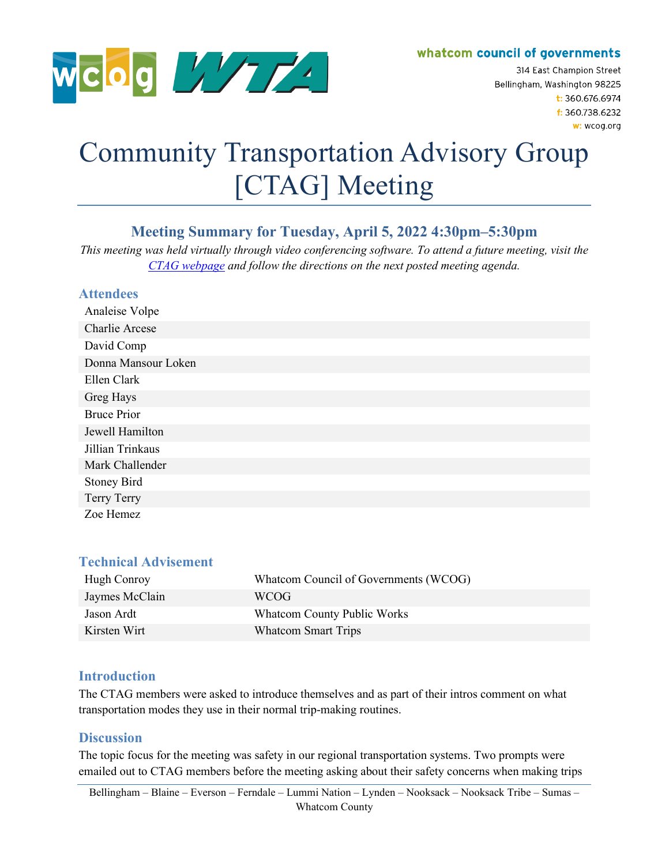

whatcom council of governments

314 East Champion Street Bellingham, Washington 98225  $t: 360.676.6974$ f: 360.738.6232 w: wcog.org

# Community Transportation Advisory Group [CTAG] Meeting

# **Meeting Summary for Tuesday, April 5, 2022 4:30pm–5:30pm**

*This meeting was held virtually through video conferencing software. To attend a future meeting, visit the [CTAG webpage](https://wcog.org/how-to-participate/) and follow the directions on the next posted meeting agenda.*

## **Attendees**

| Analeise Volpe      |
|---------------------|
| Charlie Arcese      |
| David Comp          |
| Donna Mansour Loken |
| Ellen Clark         |
| Greg Hays           |
| <b>Bruce Prior</b>  |
| Jewell Hamilton     |
| Jillian Trinkaus    |
| Mark Challender     |
| <b>Stoney Bird</b>  |
| Terry Terry         |
| Zoe Hemez           |

#### **Technical Advisement**

| Hugh Conroy    | Whatcom Council of Governments (WCOG) |
|----------------|---------------------------------------|
| Jaymes McClain | WCOG                                  |
| Jason Ardt     | <b>Whatcom County Public Works</b>    |
| Kirsten Wirt   | <b>Whatcom Smart Trips</b>            |

#### **Introduction**

The CTAG members were asked to introduce themselves and as part of their intros comment on what transportation modes they use in their normal trip-making routines.

#### **Discussion**

The topic focus for the meeting was safety in our regional transportation systems. Two prompts were emailed out to CTAG members before the meeting asking about their safety concerns when making trips

Bellingham – Blaine – Everson – Ferndale – Lummi Nation – Lynden – Nooksack – Nooksack Tribe – Sumas – Whatcom County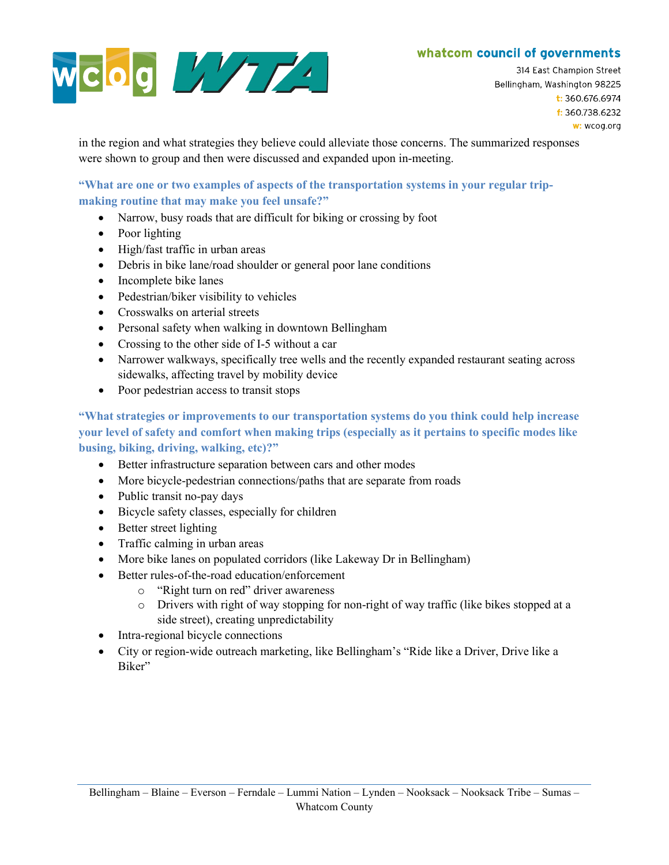## whatcom council of governments



314 East Champion Street Bellingham, Washington 98225  $t: 360.676.6974$ f: 360.738.6232 w: wcog.org

in the region and what strategies they believe could alleviate those concerns. The summarized responses were shown to group and then were discussed and expanded upon in-meeting.

#### **"What are one or two examples of aspects of the transportation systems in your regular tripmaking routine that may make you feel unsafe?"**

- Narrow, busy roads that are difficult for biking or crossing by foot
- Poor lighting
- High/fast traffic in urban areas
- Debris in bike lane/road shoulder or general poor lane conditions
- Incomplete bike lanes
- Pedestrian/biker visibility to vehicles
- Crosswalks on arterial streets
- Personal safety when walking in downtown Bellingham
- Crossing to the other side of I-5 without a car
- Narrower walkways, specifically tree wells and the recently expanded restaurant seating across sidewalks, affecting travel by mobility device
- Poor pedestrian access to transit stops

**"What strategies or improvements to our transportation systems do you think could help increase your level of safety and comfort when making trips (especially as it pertains to specific modes like busing, biking, driving, walking, etc)?"**

- Better infrastructure separation between cars and other modes
- More bicycle-pedestrian connections/paths that are separate from roads
- Public transit no-pay days
- Bicycle safety classes, especially for children
- Better street lighting
- Traffic calming in urban areas
- More bike lanes on populated corridors (like Lakeway Dr in Bellingham)
- Better rules-of-the-road education/enforcement
	- o "Right turn on red" driver awareness
	- o Drivers with right of way stopping for non-right of way traffic (like bikes stopped at a side street), creating unpredictability
- Intra-regional bicycle connections
- City or region-wide outreach marketing, like Bellingham's "Ride like a Driver, Drive like a Biker"